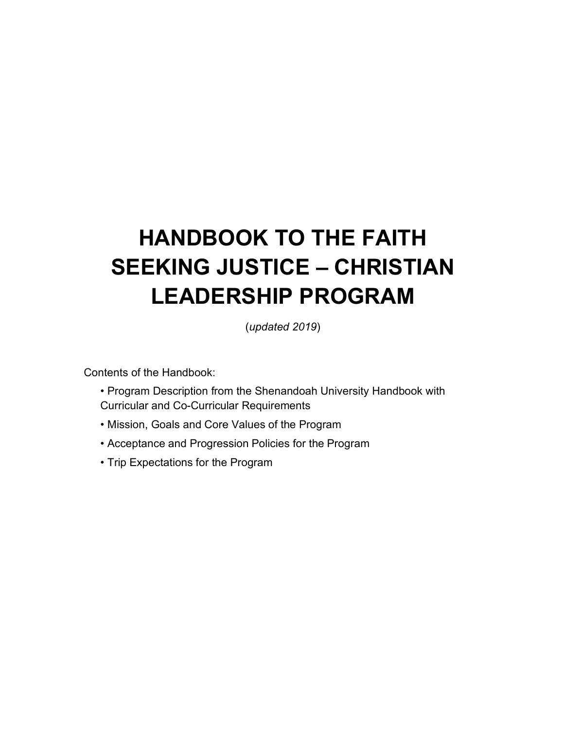# **HANDBOOK TO THE FAITH SEEKING JUSTICE – CHRISTIAN LEADERSHIP PROGRAM**

(*updated 2019*)

Contents of the Handbook:

- Program Description from the Shenandoah University Handbook with Curricular and Co-Curricular Requirements
- Mission, Goals and Core Values of the Program
- Acceptance and Progression Policies for the Program
- Trip Expectations for the Program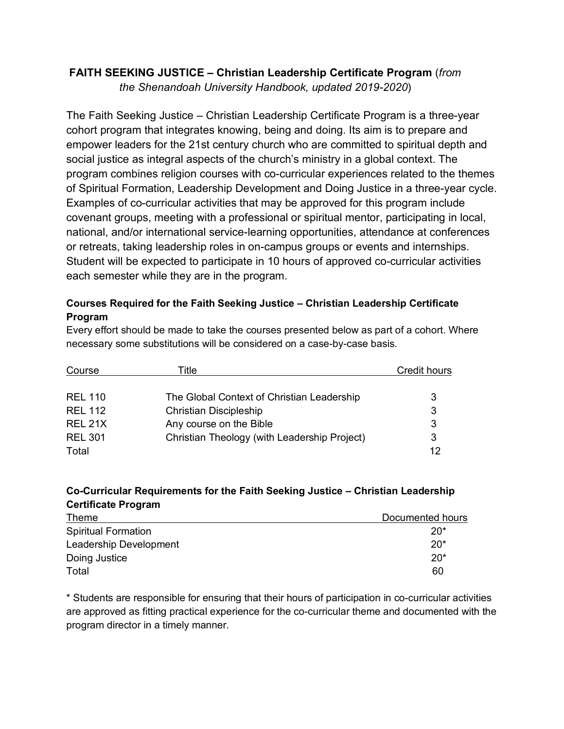## **FAITH SEEKING JUSTICE – Christian Leadership Certificate Program** (*from*

*the Shenandoah University Handbook, updated 2019-2020*)

The Faith Seeking Justice – Christian Leadership Certificate Program is a three-year cohort program that integrates knowing, being and doing. Its aim is to prepare and empower leaders for the 21st century church who are committed to spiritual depth and social justice as integral aspects of the church's ministry in a global context. The program combines religion courses with co-curricular experiences related to the themes of Spiritual Formation, Leadership Development and Doing Justice in a three-year cycle. Examples of co-curricular activities that may be approved for this program include covenant groups, meeting with a professional or spiritual mentor, participating in local, national, and/or international service-learning opportunities, attendance at conferences or retreats, taking leadership roles in on-campus groups or events and internships. Student will be expected to participate in 10 hours of approved co-curricular activities each semester while they are in the program.

#### **Courses Required for the Faith Seeking Justice – Christian Leadership Certificate Program**

Every effort should be made to take the courses presented below as part of a cohort. Where necessary some substitutions will be considered on a case-by-case basis.

| Course         | Γitle.                                       | <b>Credit hours</b> |
|----------------|----------------------------------------------|---------------------|
|                |                                              |                     |
| <b>REL 110</b> | The Global Context of Christian Leadership   | 3                   |
| <b>REL 112</b> | <b>Christian Discipleship</b>                | 3                   |
| REL 21X        | Any course on the Bible                      | 3                   |
| <b>REL 301</b> | Christian Theology (with Leadership Project) | 3                   |
| Total          |                                              | 12                  |

#### **Co-Curricular Requirements for the Faith Seeking Justice – Christian Leadership Certificate Program**

| Theme                      | Documented hours |
|----------------------------|------------------|
| <b>Spiritual Formation</b> | $20*$            |
| Leadership Development     | $20*$            |
| Doing Justice              | $20*$            |
| Total                      | 60               |

\* Students are responsible for ensuring that their hours of participation in co-curricular activities are approved as fitting practical experience for the co-curricular theme and documented with the program director in a timely manner.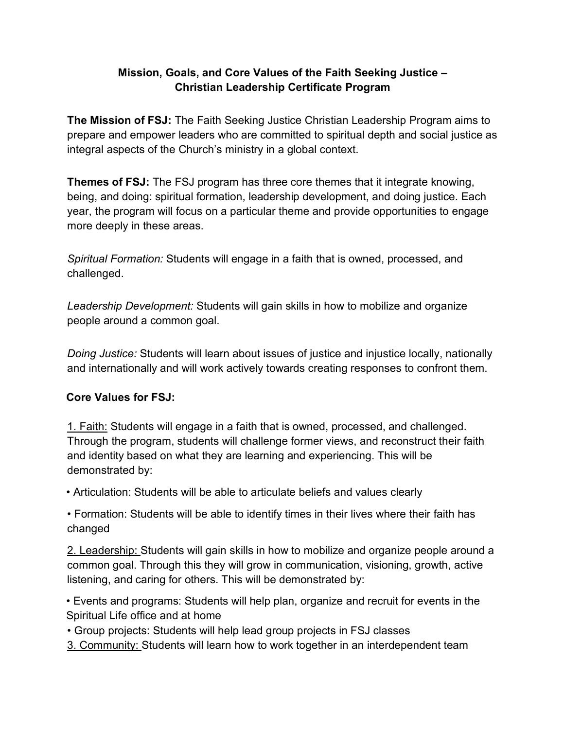#### **Mission, Goals, and Core Values of the Faith Seeking Justice – Christian Leadership Certificate Program**

**The Mission of FSJ:** The Faith Seeking Justice Christian Leadership Program aims to prepare and empower leaders who are committed to spiritual depth and social justice as integral aspects of the Church's ministry in a global context.

**Themes of FSJ:** The FSJ program has three core themes that it integrate knowing, being, and doing: spiritual formation, leadership development, and doing justice. Each year, the program will focus on a particular theme and provide opportunities to engage more deeply in these areas.

*Spiritual Formation:* Students will engage in a faith that is owned, processed, and challenged.

*Leadership Development:* Students will gain skills in how to mobilize and organize people around a common goal.

*Doing Justice:* Students will learn about issues of justice and injustice locally, nationally and internationally and will work actively towards creating responses to confront them.

### **Core Values for FSJ:**

1. Faith: Students will engage in a faith that is owned, processed, and challenged. Through the program, students will challenge former views, and reconstruct their faith and identity based on what they are learning and experiencing. This will be demonstrated by:

• Articulation: Students will be able to articulate beliefs and values clearly

• Formation: Students will be able to identify times in their lives where their faith has changed

2. Leadership: Students will gain skills in how to mobilize and organize people around a common goal. Through this they will grow in communication, visioning, growth, active listening, and caring for others. This will be demonstrated by:

• Events and programs: Students will help plan, organize and recruit for events in the Spiritual Life office and at home

• Group projects: Students will help lead group projects in FSJ classes

3. Community: Students will learn how to work together in an interdependent team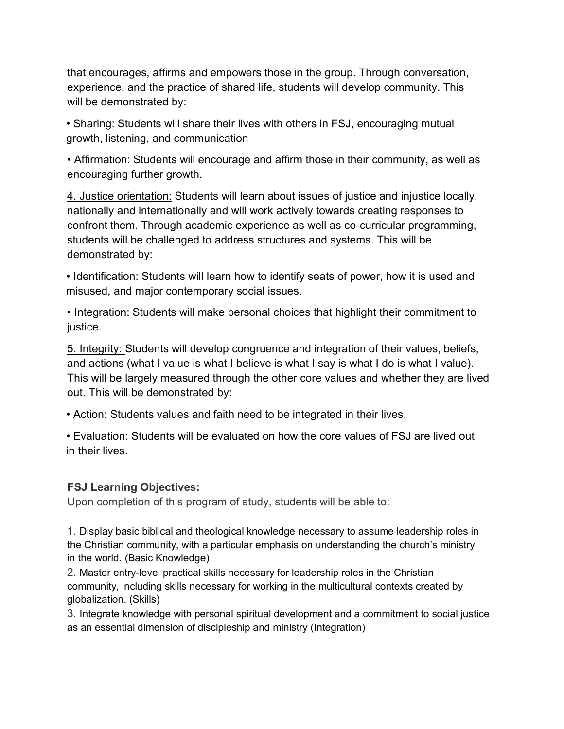that encourages, affirms and empowers those in the group. Through conversation, experience, and the practice of shared life, students will develop community. This will be demonstrated by:

• Sharing: Students will share their lives with others in FSJ, encouraging mutual growth, listening, and communication

• Affirmation: Students will encourage and affirm those in their community, as well as encouraging further growth.

4. Justice orientation: Students will learn about issues of justice and injustice locally, nationally and internationally and will work actively towards creating responses to confront them. Through academic experience as well as co-curricular programming, students will be challenged to address structures and systems. This will be demonstrated by:

• Identification: Students will learn how to identify seats of power, how it is used and misused, and major contemporary social issues.

• Integration: Students will make personal choices that highlight their commitment to justice.

5. Integrity: Students will develop congruence and integration of their values, beliefs, and actions (what I value is what I believe is what I say is what I do is what I value). This will be largely measured through the other core values and whether they are lived out. This will be demonstrated by:

• Action: Students values and faith need to be integrated in their lives.

• Evaluation: Students will be evaluated on how the core values of FSJ are lived out in their lives.

#### **FSJ Learning Objectives:**

Upon completion of this program of study, students will be able to:

1. Display basic biblical and theological knowledge necessary to assume leadership roles in the Christian community, with a particular emphasis on understanding the church's ministry in the world. (Basic Knowledge)

2. Master entry-level practical skills necessary for leadership roles in the Christian community, including skills necessary for working in the multicultural contexts created by globalization. (Skills)

3. Integrate knowledge with personal spiritual development and a commitment to social justice as an essential dimension of discipleship and ministry (Integration)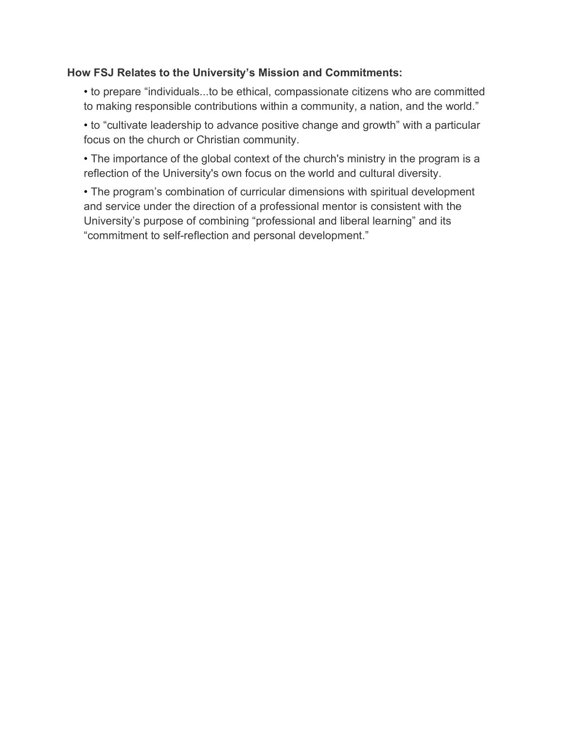#### **How FSJ Relates to the University's Mission and Commitments:**

• to prepare "individuals...to be ethical, compassionate citizens who are committed to making responsible contributions within a community, a nation, and the world."

• to "cultivate leadership to advance positive change and growth" with a particular focus on the church or Christian community.

• The importance of the global context of the church's ministry in the program is a reflection of the University's own focus on the world and cultural diversity.

• The program's combination of curricular dimensions with spiritual development and service under the direction of a professional mentor is consistent with the University's purpose of combining "professional and liberal learning" and its "commitment to self-reflection and personal development."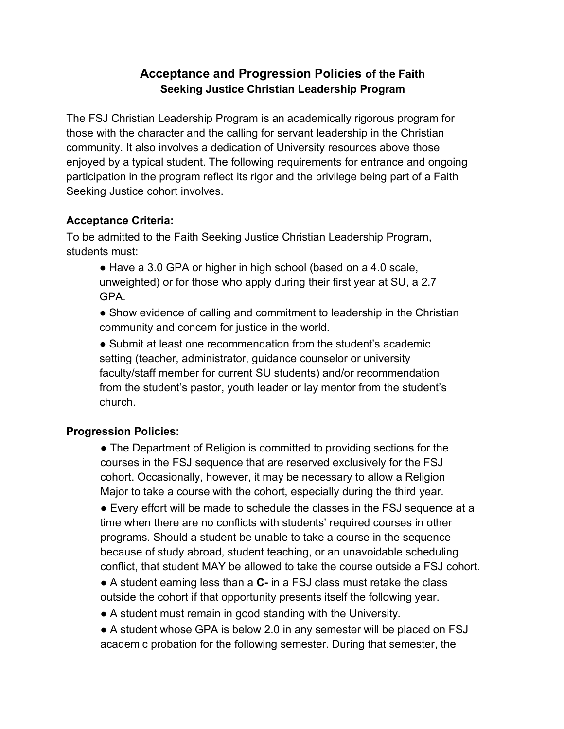## **Acceptance and Progression Policies of the Faith Seeking Justice Christian Leadership Program**

The FSJ Christian Leadership Program is an academically rigorous program for those with the character and the calling for servant leadership in the Christian community. It also involves a dedication of University resources above those enjoyed by a typical student. The following requirements for entrance and ongoing participation in the program reflect its rigor and the privilege being part of a Faith Seeking Justice cohort involves.

## **Acceptance Criteria:**

To be admitted to the Faith Seeking Justice Christian Leadership Program, students must:

● Have a 3.0 GPA or higher in high school (based on a 4.0 scale, unweighted) or for those who apply during their first year at SU, a 2.7 GPA.

• Show evidence of calling and commitment to leadership in the Christian community and concern for justice in the world.

● Submit at least one recommendation from the student's academic setting (teacher, administrator, guidance counselor or university faculty/staff member for current SU students) and/or recommendation from the student's pastor, youth leader or lay mentor from the student's church.

## **Progression Policies:**

• The Department of Religion is committed to providing sections for the courses in the FSJ sequence that are reserved exclusively for the FSJ cohort. Occasionally, however, it may be necessary to allow a Religion Major to take a course with the cohort, especially during the third year.

● Every effort will be made to schedule the classes in the FSJ sequence at a time when there are no conflicts with students' required courses in other programs. Should a student be unable to take a course in the sequence because of study abroad, student teaching, or an unavoidable scheduling conflict, that student MAY be allowed to take the course outside a FSJ cohort.

■ A student earning less than a **C**- in a FSJ class must retake the class outside the cohort if that opportunity presents itself the following year.

● A student must remain in good standing with the University.

• A student whose GPA is below 2.0 in any semester will be placed on FSJ academic probation for the following semester. During that semester, the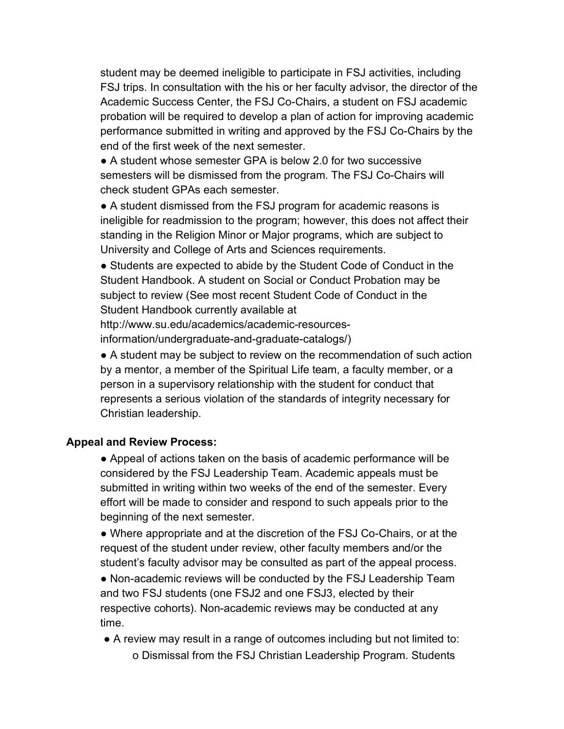student may be deemed ineligible to participate in FSJ activities, including FSJ trips. In consultation with the his or her faculty advisor, the director of the Academic Success Center, the FSJ Co-Chairs, a student on FSJ academic probation will be required to develop a plan of action for improving academic performance submitted in writing and approved by the FSJ Co-Chairs by the end of the first week of the next semester.

● A student whose semester GPA is below 2.0 for two successive semesters will be dismissed from the program. The FSJ Co-Chairs will check student GPAs each semester.

• A student dismissed from the FSJ program for academic reasons is ineligible for readmission to the program; however, this does not affect their standing in the Religion Minor or Major programs, which are subject to University and College of Arts and Sciences requirements.

● Students are expected to abide by the Student Code of Conduct in the Student Handbook. A student on Social or Conduct Probation may be subject to review (See most recent Student Code of Conduct in the Student Handbook currently available at

http://www.su.edu/academics/academic-resourcesinformation/undergraduate-and-graduate-catalogs/)

• A student may be subject to review on the recommendation of such action by a mentor, a member of the Spiritual Life team, a faculty member, or a person in a supervisory relationship with the student for conduct that represents a serious violation of the standards of integrity necessary for Christian leadership.

#### **Appeal and Review Process:**

● Appeal of actions taken on the basis of academic performance will be considered by the FSJ Leadership Team. Academic appeals must be submitted in writing within two weeks of the end of the semester. Every effort will be made to consider and respond to such appeals prior to the beginning of the next semester.

• Where appropriate and at the discretion of the FSJ Co-Chairs, or at the request of the student under review, other faculty members and/or the student's faculty advisor may be consulted as part of the appeal process.

● Non-academic reviews will be conducted by the FSJ Leadership Team and two FSJ students (one FSJ2 and one FSJ3, elected by their respective cohorts). Non-academic reviews may be conducted at any time.

● A review may result in a range of outcomes including but not limited to: o Dismissal from the FSJ Christian Leadership Program. Students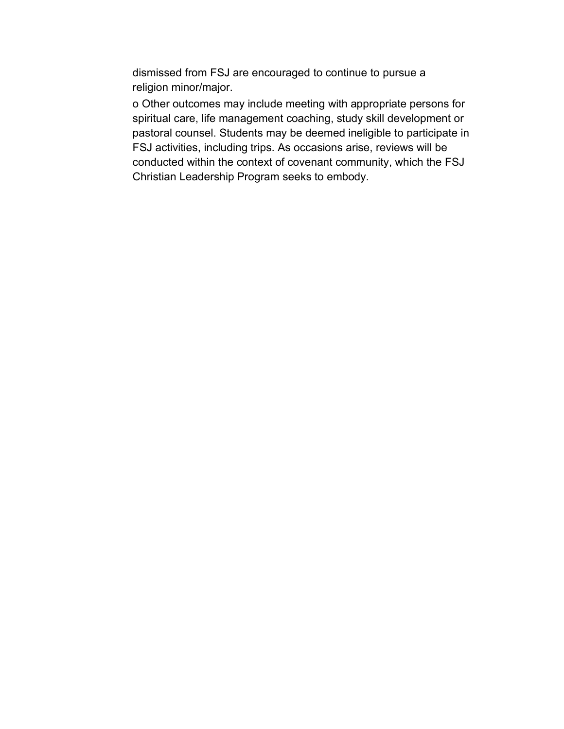dismissed from FSJ are encouraged to continue to pursue a religion minor/major.

o Other outcomes may include meeting with appropriate persons for spiritual care, life management coaching, study skill development or pastoral counsel. Students may be deemed ineligible to participate in FSJ activities, including trips. As occasions arise, reviews will be conducted within the context of covenant community, which the FSJ Christian Leadership Program seeks to embody.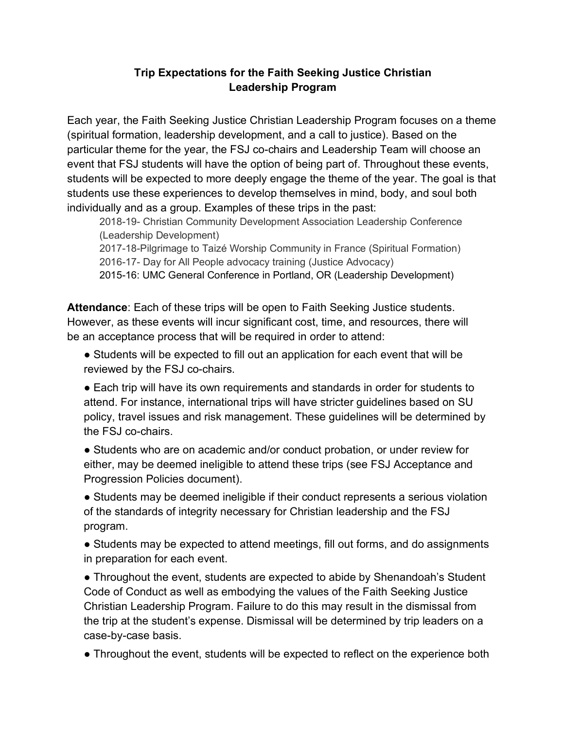#### **Trip Expectations for the Faith Seeking Justice Christian Leadership Program**

Each year, the Faith Seeking Justice Christian Leadership Program focuses on a theme (spiritual formation, leadership development, and a call to justice). Based on the particular theme for the year, the FSJ co-chairs and Leadership Team will choose an event that FSJ students will have the option of being part of. Throughout these events, students will be expected to more deeply engage the theme of the year. The goal is that students use these experiences to develop themselves in mind, body, and soul both individually and as a group. Examples of these trips in the past:

2018-19- Christian Community Development Association Leadership Conference (Leadership Development)

2017-18-Pilgrimage to Taizé Worship Community in France (Spiritual Formation) 2016-17- Day for All People advocacy training (Justice Advocacy) 2015-16: UMC General Conference in Portland, OR (Leadership Development)

**Attendance**: Each of these trips will be open to Faith Seeking Justice students. However, as these events will incur significant cost, time, and resources, there will be an acceptance process that will be required in order to attend:

- Students will be expected to fill out an application for each event that will be reviewed by the FSJ co-chairs.
- Each trip will have its own requirements and standards in order for students to attend. For instance, international trips will have stricter guidelines based on SU policy, travel issues and risk management. These guidelines will be determined by the FSJ co-chairs.
- Students who are on academic and/or conduct probation, or under review for either, may be deemed ineligible to attend these trips (see FSJ Acceptance and Progression Policies document).

● Students may be deemed ineligible if their conduct represents a serious violation of the standards of integrity necessary for Christian leadership and the FSJ program.

• Students may be expected to attend meetings, fill out forms, and do assignments in preparation for each event.

• Throughout the event, students are expected to abide by Shenandoah's Student Code of Conduct as well as embodying the values of the Faith Seeking Justice Christian Leadership Program. Failure to do this may result in the dismissal from the trip at the student's expense. Dismissal will be determined by trip leaders on a case-by-case basis.

● Throughout the event, students will be expected to reflect on the experience both